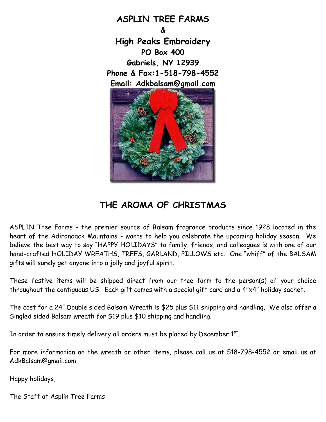

## **THE AROMA OF CHRISTMAS**

ASPLIN Tree Farms - the premier source of Balsam fragrance products since 1928 located in the heart of the Adirondack Mountains - wants to help you celebrate the upcoming holiday season. We believe the best way to say "HAPPY HOLIDAYS" to family, friends, and colleagues is with one of our hand-crafted HOLIDAY WREATHS, TREES, GARLAND, PILLOWS etc. One "whiff" of the BALSAM gifts will surely get anyone into a jolly and joyful spirit.

These festive items will be shipped direct from our tree farm to the person(s) of your choice throughout the contiguous US. Each gift comes with a special gift card and a 4"x4" holiday sachet.

The cost for a 24" Double sided Balsam Wreath is \$25 plus \$11 shipping and handling. We also offer a Singled sided Balsam wreath for \$19 plus \$10 shipping and handling.

In order to ensure timely delivery all orders must be placed by December  $1^\mathrm{st}$ .

For more information on the wreath or other items, please call us at 518-798-4552 or email us at AdkBalsam@gmail.com.

Happy holidays,

The Staff at Asplin Tree Farms